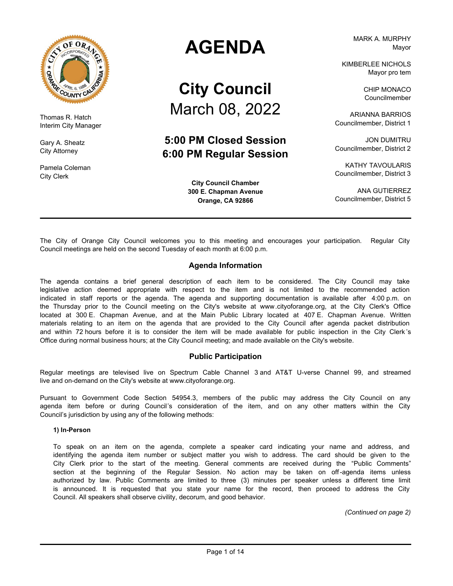

Thomas R. Hatch Interim City Manager

Gary A. Sheatz City Attorney

Pamela Coleman City Clerk

# **AGENDA**

# **City Council** March 08, 2022

# **5:00 PM Closed Session 6:00 PM Regular Session**

**City Council Chamber 300 E. Chapman Avenue Orange, CA 92866**

MARK A. MURPHY Mayor

KIMBERLEE NICHOLS Mayor pro tem

> CHIP MONACO Councilmember

ARIANNA BARRIOS Councilmember, District 1

JON DUMITRU Councilmember, District 2

KATHY TAVOULARIS Councilmember, District 3

ANA GUTIERREZ Councilmember, District 5

The City of Orange City Council welcomes you to this meeting and encourages your participation. Regular City Council meetings are held on the second Tuesday of each month at 6:00 p.m.

### **Agenda Information**

The agenda contains a brief general description of each item to be considered. The City Council may take legislative action deemed appropriate with respect to the item and is not limited to the recommended action indicated in staff reports or the agenda. The agenda and supporting documentation is available after 4:00 p.m. on the Thursday prior to the Council meeting on the City's website at www.cityoforange.org, at the City Clerk's Office located at 300 E. Chapman Avenue, and at the Main Public Library located at 407 E. Chapman Avenue. Written materials relating to an item on the agenda that are provided to the City Council after agenda packet distribution and within 72 hours before it is to consider the item will be made available for public inspection in the City Clerk 's Office during normal business hours; at the City Council meeting; and made available on the City's website.

#### **Public Participation**

Regular meetings are televised live on Spectrum Cable Channel 3 and AT&T U-verse Channel 99, and streamed live and on-demand on the City's website at www.cityoforange.org.

Pursuant to Government Code Section 54954.3, members of the public may address the City Council on any agenda item before or during Council's consideration of the item, and on any other matters within the City Council's jurisdiction by using any of the following methods:

#### **1) In-Person**

To speak on an item on the agenda, complete a speaker card indicating your name and address, and identifying the agenda item number or subject matter you wish to address. The card should be given to the City Clerk prior to the start of the meeting. General comments are received during the "Public Comments" section at the beginning of the Regular Session. No action may be taken on off-agenda items unless authorized by law. Public Comments are limited to three (3) minutes per speaker unless a different time limit is announced. It is requested that you state your name for the record, then proceed to address the City Council. All speakers shall observe civility, decorum, and good behavior.

*(Continued on page 2)*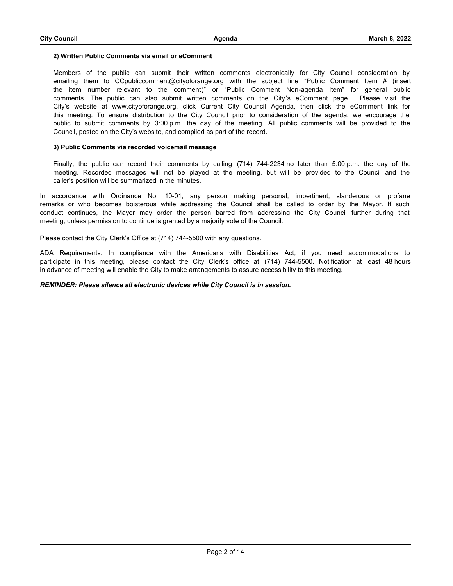#### **2) Written Public Comments via email or eComment**

Members of the public can submit their written comments electronically for City Council consideration by emailing them to CCpubliccomment@cityoforange.org with the subject line "Public Comment Item # (insert the item number relevant to the comment)" or "Public Comment Non-agenda Item" for general public comments. The public can also submit written comments on the City's eComment page. Please visit the City's website at www.cityoforange.org, click Current City Council Agenda, then click the eComment link for this meeting. To ensure distribution to the City Council prior to consideration of the agenda, we encourage the public to submit comments by 3:00 p.m. the day of the meeting. All public comments will be provided to the Council, posted on the City's website, and compiled as part of the record.

#### **3) Public Comments via recorded voicemail message**

Finally, the public can record their comments by calling (714) 744-2234 no later than 5:00 p.m. the day of the meeting. Recorded messages will not be played at the meeting, but will be provided to the Council and the caller's position will be summarized in the minutes.

In accordance with Ordinance No. 10-01, any person making personal, impertinent, slanderous or profane remarks or who becomes boisterous while addressing the Council shall be called to order by the Mayor. If such conduct continues, the Mayor may order the person barred from addressing the City Council further during that meeting, unless permission to continue is granted by a majority vote of the Council.

Please contact the City Clerk's Office at (714) 744-5500 with any questions.

ADA Requirements: In compliance with the Americans with Disabilities Act, if you need accommodations to participate in this meeting, please contact the City Clerk's office at (714) 744-5500. Notification at least 48 hours in advance of meeting will enable the City to make arrangements to assure accessibility to this meeting.

#### *REMINDER: Please silence all electronic devices while City Council is in session.*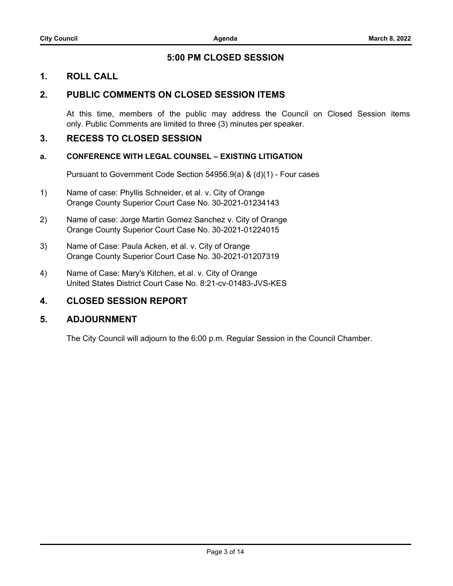# **5:00 PM CLOSED SESSION**

# **1. ROLL CALL**

# **2. PUBLIC COMMENTS ON CLOSED SESSION ITEMS**

At this time, members of the public may address the Council on Closed Session items only. Public Comments are limited to three (3) minutes per speaker.

# **3. RECESS TO CLOSED SESSION**

### **a. CONFERENCE WITH LEGAL COUNSEL – EXISTING LITIGATION**

Pursuant to Government Code Section 54956.9(a) & (d)(1) - Four cases

- 1) Name of case: Phyllis Schneider, et al. v. City of Orange Orange County Superior Court Case No. 30-2021-01234143
- 2) Name of case: Jorge Martin Gomez Sanchez v. City of Orange Orange County Superior Court Case No. 30-2021-01224015
- 3) Name of Case: Paula Acken, et al. v. City of Orange Orange County Superior Court Case No. 30-2021-01207319
- 4) Name of Case: Mary's Kitchen, et al. v. City of Orange United States District Court Case No. 8:21-cv-01483-JVS-KES

# **4. CLOSED SESSION REPORT**

# **5. ADJOURNMENT**

The City Council will adjourn to the 6:00 p.m. Regular Session in the Council Chamber.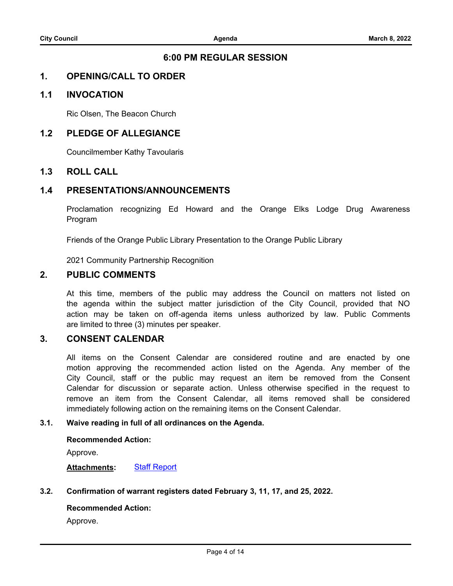# **6:00 PM REGULAR SESSION**

# **1. OPENING/CALL TO ORDER**

# **1.1 INVOCATION**

Ric Olsen, The Beacon Church

# **1.2 PLEDGE OF ALLEGIANCE**

Councilmember Kathy Tavoularis

# **1.3 ROLL CALL**

# **1.4 PRESENTATIONS/ANNOUNCEMENTS**

Proclamation recognizing Ed Howard and the Orange Elks Lodge Drug Awareness Program

Friends of the Orange Public Library Presentation to the Orange Public Library

2021 Community Partnership Recognition

# **2. PUBLIC COMMENTS**

At this time, members of the public may address the Council on matters not listed on the agenda within the subject matter jurisdiction of the City Council, provided that NO action may be taken on off-agenda items unless authorized by law. Public Comments are limited to three (3) minutes per speaker.

# **3. CONSENT CALENDAR**

All items on the Consent Calendar are considered routine and are enacted by one motion approving the recommended action listed on the Agenda. Any member of the City Council, staff or the public may request an item be removed from the Consent Calendar for discussion or separate action. Unless otherwise specified in the request to remove an item from the Consent Calendar, all items removed shall be considered immediately following action on the remaining items on the Consent Calendar.

### **3.1. [Waive reading in full of all ordinances on the Agenda.](http://cityoforange.legistar.com/gateway.aspx?m=l&id=/matter.aspx?key=2485)**

### **Recommended Action:**

Approve.

### **Attachments:** [Staff Report](http://cityoforange.legistar.com/gateway.aspx?M=F&ID=a7c5b435-6d0d-4bd0-9144-5635d9a7dbe2.pdf)

### **3.2. [Confirmation of warrant registers dated February 3, 11, 17, and 25, 2022.](http://cityoforange.legistar.com/gateway.aspx?m=l&id=/matter.aspx?key=2491)**

### **Recommended Action:**

Approve.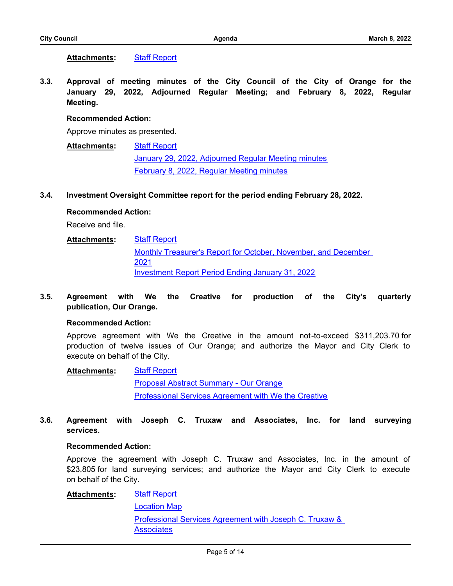**Attachments:** [Staff Report](http://cityoforange.legistar.com/gateway.aspx?M=F&ID=1e6b274e-b4d3-4c4e-bb22-6c7dc1bd83b6.pdf)

**3.3. [Approval of meeting minutes of the City Council of the City of Orange for the](http://cityoforange.legistar.com/gateway.aspx?m=l&id=/matter.aspx?key=2490) January 29, 2022, Adjourned Regular Meeting; and February 8, 2022, Regular Meeting.**

### **Recommended Action:**

Approve minutes as presented.

[Staff Report](http://cityoforange.legistar.com/gateway.aspx?M=F&ID=5a7203ce-ac04-4fc3-aeea-13a198eb2848.pdf) [January 29, 2022, Adjourned Regular Meeting minutes](http://cityoforange.legistar.com/gateway.aspx?M=F&ID=699282e2-b686-4f74-9a52-7abf682ef282.pdf) [February 8, 2022, Regular Meeting minutes](http://cityoforange.legistar.com/gateway.aspx?M=F&ID=d55d22a9-2bf1-472d-beed-a4a104ac53f8.pdf) **Attachments:**

### **3.4. [Investment Oversight Committee report for the period ending February 28, 2022.](http://cityoforange.legistar.com/gateway.aspx?m=l&id=/matter.aspx?key=2510)**

### **Recommended Action:**

Receive and file.

- [Staff Report](http://cityoforange.legistar.com/gateway.aspx?M=F&ID=54ddc25d-bfda-4a3e-abcd-c46c0c5b9511.pdf) [Monthly Treasurer's Report for October, November, and December](http://cityoforange.legistar.com/gateway.aspx?M=F&ID=ad41a602-a159-48d8-9999-1a8c344de149.pdf)  2021 [Investment Report Period Ending January 31, 2022](http://cityoforange.legistar.com/gateway.aspx?M=F&ID=e841fd76-8f1e-44ef-8d3b-ee806010ed43.pdf) **Attachments:**
- **3.5. [Agreement with We the Creative for production of the City's quarterly](http://cityoforange.legistar.com/gateway.aspx?m=l&id=/matter.aspx?key=2433) publication, Our Orange.**

### **Recommended Action:**

Approve agreement with We the Creative in the amount not-to-exceed \$311,203.70 for production of twelve issues of Our Orange; and authorize the Mayor and City Clerk to execute on behalf of the City.

#### [Staff Report](http://cityoforange.legistar.com/gateway.aspx?M=F&ID=a0bcab38-7b1b-43c4-99e0-4f7a2c4652c0.pdf) **Attachments:**

[Proposal Abstract Summary - Our Orange](http://cityoforange.legistar.com/gateway.aspx?M=F&ID=849abd7c-927a-4cdc-8aed-ba0797113be9.pdf) [Professional Services Agreement with We the Creative](http://cityoforange.legistar.com/gateway.aspx?M=F&ID=e86944f3-e741-416f-af81-d046cc3d9542.pdf)

**3.6. [Agreement with Joseph C. Truxaw and Associates, Inc. for land surveying](http://cityoforange.legistar.com/gateway.aspx?m=l&id=/matter.aspx?key=2487) services.**

### **Recommended Action:**

Approve the agreement with Joseph C. Truxaw and Associates, Inc. in the amount of \$23,805 for land surveying services; and authorize the Mayor and City Clerk to execute on behalf of the City.

[Staff Report](http://cityoforange.legistar.com/gateway.aspx?M=F&ID=bb932cb5-66d5-4e55-9ef4-bc1952701740.pdf) **Attachments:**

> [Location Map](http://cityoforange.legistar.com/gateway.aspx?M=F&ID=1c57b26c-563d-4766-a90d-44501f0e1e82.pdf) [Professional Services Agreement with Joseph C. Truxaw &](http://cityoforange.legistar.com/gateway.aspx?M=F&ID=79328644-3475-4e2d-ac08-cc2ed2e57235.pdf)  **Associates**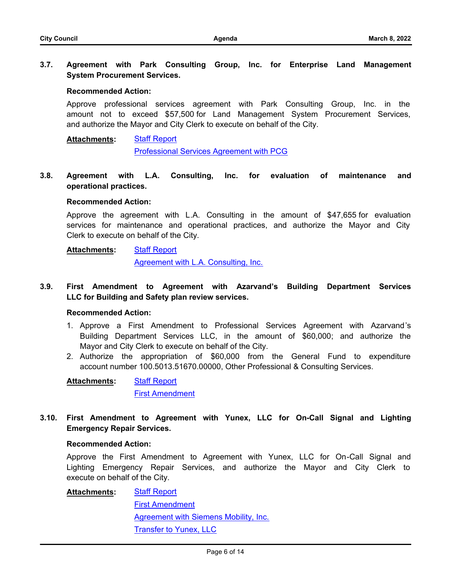**3.7. [Agreement with Park Consulting Group, Inc. for Enterprise Land Management](http://cityoforange.legistar.com/gateway.aspx?m=l&id=/matter.aspx?key=2498) System Procurement Services.**

### **Recommended Action:**

Approve professional services agreement with Park Consulting Group, Inc. in the amount not to exceed \$57,500 for Land Management System Procurement Services, and authorize the Mayor and City Clerk to execute on behalf of the City.

[Staff Report](http://cityoforange.legistar.com/gateway.aspx?M=F&ID=72e2ec9f-d947-4b84-aa09-d24f2a4c28a4.pdf) **Attachments:**

[Professional Services Agreement with PCG](http://cityoforange.legistar.com/gateway.aspx?M=F&ID=159fddef-527a-442e-9155-62dc42cf29f8.pdf)

**3.8. [Agreement with L.A. Consulting, Inc. for evaluation of maintenance and](http://cityoforange.legistar.com/gateway.aspx?m=l&id=/matter.aspx?key=2512) operational practices.**

### **Recommended Action:**

Approve the agreement with L.A. Consulting in the amount of \$47,655 for evaluation services for maintenance and operational practices, and authorize the Mayor and City Clerk to execute on behalf of the City.

#### [Staff Report](http://cityoforange.legistar.com/gateway.aspx?M=F&ID=40f5c5a1-80b8-42d5-baa9-b8252d14e9dd.pdf) **Attachments:**

[Agreement with L.A. Consulting, Inc.](http://cityoforange.legistar.com/gateway.aspx?M=F&ID=9eb1e6c0-867a-4809-aeeb-79cd827e563f.pdf)

**3.9. [First Amendment to Agreement with Azarvand's Building Department Services](http://cityoforange.legistar.com/gateway.aspx?m=l&id=/matter.aspx?key=2455) LLC for Building and Safety plan review services.**

### **Recommended Action:**

- 1. Approve a First Amendment to Professional Services Agreement with Azarvand's Building Department Services LLC, in the amount of \$60,000; and authorize the Mayor and City Clerk to execute on behalf of the City.
- 2. Authorize the appropriation of \$60,000 from the General Fund to expenditure account number 100.5013.51670.00000, Other Professional & Consulting Services.

[Staff Report](http://cityoforange.legistar.com/gateway.aspx?M=F&ID=281b8adf-77f1-411f-a2d1-69cd1a0bb3eb.pdf) [First Amendment](http://cityoforange.legistar.com/gateway.aspx?M=F&ID=a5e917c8-620e-44ca-a84f-09b86176f961.pdf) **Attachments:**

**3.10. [First Amendment to Agreement with Yunex, LLC for On-Call Signal and Lighting](http://cityoforange.legistar.com/gateway.aspx?m=l&id=/matter.aspx?key=2461) Emergency Repair Services.**

### **Recommended Action:**

Approve the First Amendment to Agreement with Yunex, LLC for On-Call Signal and Lighting Emergency Repair Services, and authorize the Mayor and City Clerk to execute on behalf of the City.

[Staff Report](http://cityoforange.legistar.com/gateway.aspx?M=F&ID=36097497-ffdb-44b9-a0b6-7a479104c887.pdf) **Attachments:**

> **[First Amendment](http://cityoforange.legistar.com/gateway.aspx?M=F&ID=bac9f996-9b65-452e-8d25-e15621532475.pdf)** [Agreement with Siemens Mobility, Inc.](http://cityoforange.legistar.com/gateway.aspx?M=F&ID=352c5770-d8e7-4510-a77b-cf28d4193f57.pdf) [Transfer to Yunex, LLC](http://cityoforange.legistar.com/gateway.aspx?M=F&ID=95b22127-b5c9-4ac8-aee5-8ec809b2d8e9.pdf)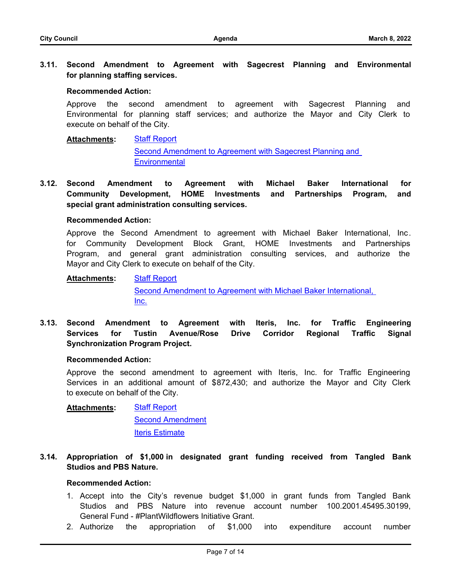**3.11. [Second Amendment to Agreement with Sagecrest Planning and Environmental](http://cityoforange.legistar.com/gateway.aspx?m=l&id=/matter.aspx?key=2450) for planning staffing services.**

#### **Recommended Action:**

Approve the second amendment to agreement with Sagecrest Planning and Environmental for planning staff services; and authorize the Mayor and City Clerk to execute on behalf of the City.

[Staff Report](http://cityoforange.legistar.com/gateway.aspx?M=F&ID=398bc2af-ccd2-4773-a1d3-b7bce3be0c05.pdf) **Attachments:**

> [Second Amendment to Agreement with Sagecrest Planning and](http://cityoforange.legistar.com/gateway.aspx?M=F&ID=c7c51f60-3c73-4f1e-a7a5-480d699684fe.pdf)  **Environmental**

**3.12. [Second Amendment to Agreement with Michael Baker International for](http://cityoforange.legistar.com/gateway.aspx?m=l&id=/matter.aspx?key=2459) Community Development, HOME Investments and Partnerships Program, and special grant administration consulting services.**

#### **Recommended Action:**

Approve the Second Amendment to agreement with Michael Baker International, Inc. for Community Development Block Grant, HOME Investments and Partnerships Program, and general grant administration consulting services, and authorize the Mayor and City Clerk to execute on behalf of the City.

#### [Staff Report](http://cityoforange.legistar.com/gateway.aspx?M=F&ID=120e5f66-c79d-4f73-8ac9-2e32bf589045.pdf) **Attachments:**

[Second Amendment to Agreement with Michael Baker International,](http://cityoforange.legistar.com/gateway.aspx?M=F&ID=47fb4963-b77f-4544-8950-5cbdf7581e73.pdf)  Inc.

**3.13. [Second Amendment to Agreement with Iteris, Inc. for Traffic Engineering](http://cityoforange.legistar.com/gateway.aspx?m=l&id=/matter.aspx?key=2514) Services for Tustin Avenue/Rose Drive Corridor Regional Traffic Signal Synchronization Program Project.**

#### **Recommended Action:**

Approve the second amendment to agreement with Iteris, Inc. for Traffic Engineering Services in an additional amount of \$872,430; and authorize the Mayor and City Clerk to execute on behalf of the City.

[Staff Report](http://cityoforange.legistar.com/gateway.aspx?M=F&ID=f53645d8-69dc-49f3-86a0-6623e5746214.pdf) [Second Amendment](http://cityoforange.legistar.com/gateway.aspx?M=F&ID=7c3e479a-38ad-4c80-a837-cca134ea08ae.pdf) [Iteris Estimate](http://cityoforange.legistar.com/gateway.aspx?M=F&ID=a4660f42-1773-4e82-a238-7753c163337c.pdf) **Attachments:**

**3.14. [Appropriation of \\$1,000 in designated grant funding received from Tangled Bank](http://cityoforange.legistar.com/gateway.aspx?m=l&id=/matter.aspx?key=2462) Studios and PBS Nature.**

#### **Recommended Action:**

- 1. Accept into the City's revenue budget \$1,000 in grant funds from Tangled Bank Studios and PBS Nature into revenue account number 100.2001.45495.30199, General Fund - #PlantWildflowers Initiative Grant.
- 2. Authorize the appropriation of \$1,000 into expenditure account number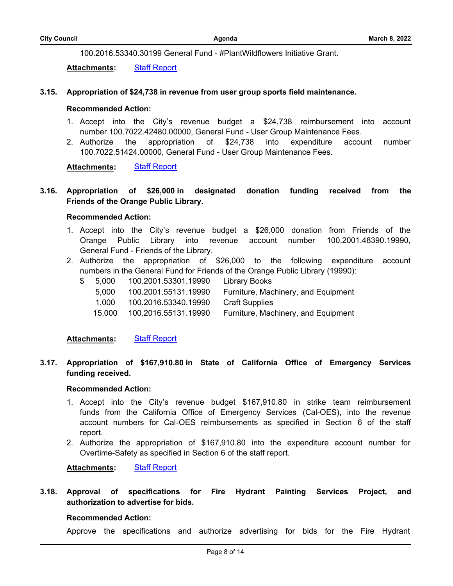100.2016.53340.30199 General Fund - #PlantWildflowers Initiative Grant.

Attachments: [Staff Report](http://cityoforange.legistar.com/gateway.aspx?M=F&ID=ef659c39-d4a6-47fe-b2e7-b118f1d8cdcb.pdf)

### **3.15. [Appropriation of \\$24,738 in revenue from user group sports field maintenance.](http://cityoforange.legistar.com/gateway.aspx?m=l&id=/matter.aspx?key=2477)**

#### **Recommended Action:**

- 1. Accept into the City's revenue budget a \$24,738 reimbursement into account number 100.7022.42480.00000, General Fund - User Group Maintenance Fees.
- 2. Authorize the appropriation of \$24,738 into expenditure account number 100.7022.51424.00000, General Fund - User Group Maintenance Fees.

**Attachments:** [Staff Report](http://cityoforange.legistar.com/gateway.aspx?M=F&ID=4ea18093-c8be-4d42-b361-1aa5f6410f7a.pdf)

**3.16. [Appropriation of \\$26,000 in designated donation funding received from the](http://cityoforange.legistar.com/gateway.aspx?m=l&id=/matter.aspx?key=2515) Friends of the Orange Public Library.**

### **Recommended Action:**

- 1. Accept into the City's revenue budget a \$26,000 donation from Friends of the Orange Public Library into revenue account number 100.2001.48390.19990, General Fund - Friends of the Library.
- 2. Authorize the appropriation of \$26,000 to the following expenditure account numbers in the General Fund for Friends of the Orange Public Library (19990):
	- \$ 5,000 100.2001.53301.19990 Library Books
		- 5,000 100.2001.55131.19990 Furniture, Machinery, and Equipment
		- 1,000 100.2016.53340.19990 Craft Supplies
		- 15,000 100.2016.55131.19990 Furniture, Machinery, and Equipment

**Attachments:** [Staff Report](http://cityoforange.legistar.com/gateway.aspx?M=F&ID=6e38d78d-3748-4ff5-912e-7b252fd69836.pdf)

**3.17. [Appropriation of \\$167,910.80 in State of California Office of Emergency Services](http://cityoforange.legistar.com/gateway.aspx?m=l&id=/matter.aspx?key=2522) funding received.**

### **Recommended Action:**

- 1. Accept into the City's revenue budget \$167,910.80 in strike team reimbursement funds from the California Office of Emergency Services (Cal-OES), into the revenue account numbers for Cal-OES reimbursements as specified in Section 6 of the staff report.
- 2. Authorize the appropriation of \$167,910.80 into the expenditure account number for Overtime-Safety as specified in Section 6 of the staff report.

**Attachments:** [Staff Report](http://cityoforange.legistar.com/gateway.aspx?M=F&ID=dfa9be71-6323-4304-9e3b-e4dea5bddb78.pdf)

**3.18. [Approval of specifications for Fire Hydrant Painting Services Project, and](http://cityoforange.legistar.com/gateway.aspx?m=l&id=/matter.aspx?key=2479) authorization to advertise for bids.**

### **Recommended Action:**

Approve the specifications and authorize advertising for bids for the Fire Hydrant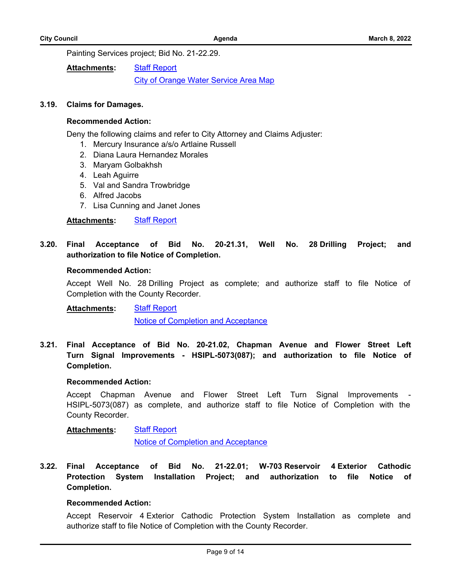Painting Services project; Bid No. 21-22.29.

[Staff Report](http://cityoforange.legistar.com/gateway.aspx?M=F&ID=c0344aec-17d1-4190-990c-e4f9f8d39ee6.pdf) **Attachments:**

**[City of Orange Water Service Area Map](http://cityoforange.legistar.com/gateway.aspx?M=F&ID=81d3a9b4-4a88-434b-b2ac-6e6bd849d666.pdf)** 

### **3.19. [Claims for Damages.](http://cityoforange.legistar.com/gateway.aspx?m=l&id=/matter.aspx?key=2524)**

#### **Recommended Action:**

Deny the following claims and refer to City Attorney and Claims Adjuster:

- 1. Mercury Insurance a/s/o Artlaine Russell
- 2. Diana Laura Hernandez Morales
- 3. Maryam Golbakhsh
- 4. Leah Aguirre
- 5. Val and Sandra Trowbridge
- 6. Alfred Jacobs
- 7. Lisa Cunning and Janet Jones

**Attachments:** [Staff Report](http://cityoforange.legistar.com/gateway.aspx?M=F&ID=32ca8d82-9316-44e7-ba66-b4824140ff72.pdf)

**3.20. [Final Acceptance of Bid No. 20-21.31, Well No. 28 Drilling Project; and](http://cityoforange.legistar.com/gateway.aspx?m=l&id=/matter.aspx?key=2472) authorization to file Notice of Completion.**

#### **Recommended Action:**

Accept Well No. 28 Drilling Project as complete; and authorize staff to file Notice of Completion with the County Recorder.

[Staff Report](http://cityoforange.legistar.com/gateway.aspx?M=F&ID=6d2ac8cb-6173-426e-9ebf-34c256b8466c.pdf) **Attachments:**

[Notice of Completion and Acceptance](http://cityoforange.legistar.com/gateway.aspx?M=F&ID=cea38385-2040-41dc-86a1-777a24625f77.pdf)

**3.21. [Final Acceptance of Bid No. 20-21.02, Chapman Avenue and Flower Street Left](http://cityoforange.legistar.com/gateway.aspx?m=l&id=/matter.aspx?key=2488) Turn Signal Improvements - HSIPL-5073(087); and authorization to file Notice of Completion.**

#### **Recommended Action:**

Accept Chapman Avenue and Flower Street Left Turn Signal Improvements - HSIPL-5073(087) as complete, and authorize staff to file Notice of Completion with the County Recorder.

#### [Staff Report](http://cityoforange.legistar.com/gateway.aspx?M=F&ID=dd8c8e15-63f1-4716-aaaa-6797fd163eda.pdf) **Attachments:**

[Notice of Completion and Acceptance](http://cityoforange.legistar.com/gateway.aspx?M=F&ID=c240b1f3-dad2-4c0d-addc-4ac8dcfd4766.pdf)

**3.22. Final Acceptance of Bid No. 21-22.01; W-703 Reservoir 4 Exterior Cathodic [Protection System Installation Project; and authorization to file Notice of](http://cityoforange.legistar.com/gateway.aspx?m=l&id=/matter.aspx?key=2489) Completion.**

#### **Recommended Action:**

Accept Reservoir 4 Exterior Cathodic Protection System Installation as complete and authorize staff to file Notice of Completion with the County Recorder.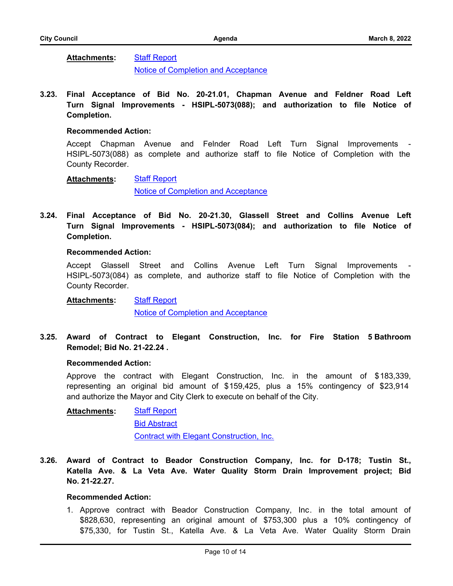#### [Staff Report](http://cityoforange.legistar.com/gateway.aspx?M=F&ID=2dac2993-5207-43c0-85ab-7824536eb167.pdf) **Attachments:**

[Notice of Completion and Acceptance](http://cityoforange.legistar.com/gateway.aspx?M=F&ID=f994905c-b575-47b2-859a-7a88334929da.pdf)

**3.23. [Final Acceptance of Bid No. 20-21.01, Chapman Avenue and Feldner Road Left](http://cityoforange.legistar.com/gateway.aspx?m=l&id=/matter.aspx?key=2492) Turn Signal Improvements - HSIPL-5073(088); and authorization to file Notice of Completion.**

#### **Recommended Action:**

Accept Chapman Avenue and Felnder Road Left Turn Signal Improvements - HSIPL-5073(088) as complete and authorize staff to file Notice of Completion with the County Recorder.

#### [Staff Report](http://cityoforange.legistar.com/gateway.aspx?M=F&ID=a677d5e4-7cbf-4c79-a52a-3e5e94b1dfc5.pdf) **Attachments:**

[Notice of Completion and Acceptance](http://cityoforange.legistar.com/gateway.aspx?M=F&ID=2a9d249f-8213-488a-a042-a013f5c5cb9a.pdf)

**3.24. [Final Acceptance of Bid No. 20-21.30, Glassell Street and Collins Avenue Left](http://cityoforange.legistar.com/gateway.aspx?m=l&id=/matter.aspx?key=2493) Turn Signal Improvements - HSIPL-5073(084); and authorization to file Notice of Completion.**

#### **Recommended Action:**

Accept Glassell Street and Collins Avenue Left Turn Signal Improvements HSIPL-5073(084) as complete, and authorize staff to file Notice of Completion with the County Recorder.

**[Staff Report](http://cityoforange.legistar.com/gateway.aspx?M=F&ID=c577ed09-e7ca-4571-af2c-67b1cd413554.pdf) Attachments:**

[Notice of Completion and Acceptance](http://cityoforange.legistar.com/gateway.aspx?M=F&ID=7b256c44-63cd-4171-8267-1060909c72e3.pdf)

**3.25. [Award of Contract to Elegant Construction, Inc. for Fire Station 5 Bathroom](http://cityoforange.legistar.com/gateway.aspx?m=l&id=/matter.aspx?key=2494) Remodel; Bid No. 21-22.24 .**

#### **Recommended Action:**

Approve the contract with Elegant Construction, Inc. in the amount of \$183,339, representing an original bid amount of \$159,425, plus a 15% contingency of \$23,914 and authorize the Mayor and City Clerk to execute on behalf of the City.

**[Staff Report](http://cityoforange.legistar.com/gateway.aspx?M=F&ID=9d202d93-e003-4f33-b406-a0e3037d54be.pdf)** [Bid Abstract](http://cityoforange.legistar.com/gateway.aspx?M=F&ID=0fe2f6ad-90ec-4b8c-84d7-6923865f8d9d.pdf) [Contract with Elegant Construction, Inc.](http://cityoforange.legistar.com/gateway.aspx?M=F&ID=ad14131f-5e12-402e-90b0-023f97feb720.pdf) **Attachments:**

**3.26. [Award of Contract to Beador Construction Company, Inc. for D-178; Tustin St.,](http://cityoforange.legistar.com/gateway.aspx?m=l&id=/matter.aspx?key=2511) Katella Ave. & La Veta Ave. Water Quality Storm Drain Improvement project; Bid No. 21-22.27.**

### **Recommended Action:**

1. Approve contract with Beador Construction Company, Inc. in the total amount of \$828,630, representing an original amount of \$753,300 plus a 10% contingency of \$75,330, for Tustin St., Katella Ave. & La Veta Ave. Water Quality Storm Drain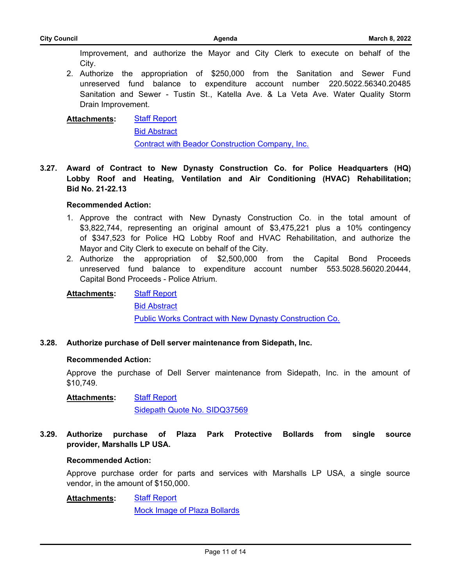Improvement, and authorize the Mayor and City Clerk to execute on behalf of the City.

2. Authorize the appropriation of \$250,000 from the Sanitation and Sewer Fund unreserved fund balance to expenditure account number 220.5022.56340.20485 Sanitation and Sewer - Tustin St., Katella Ave. & La Veta Ave. Water Quality Storm Drain Improvement.

#### [Staff Report](http://cityoforange.legistar.com/gateway.aspx?M=F&ID=5ed3dd9a-0229-4a0b-8eec-004457d8858d.pdf) **Attachments:**

[Bid Abstract](http://cityoforange.legistar.com/gateway.aspx?M=F&ID=2dd2afd4-4f1a-4d54-bc49-1fadcdb00cbc.pdf)

[Contract with Beador Construction Company, Inc.](http://cityoforange.legistar.com/gateway.aspx?M=F&ID=2f6f4d18-6634-4efc-873c-35dad7b692a0.pdf)

**3.27. [Award of Contract to New Dynasty Construction Co. for Police Headquarters \(HQ\)](http://cityoforange.legistar.com/gateway.aspx?m=l&id=/matter.aspx?key=2519) Lobby Roof and Heating, Ventilation and Air Conditioning (HVAC) Rehabilitation; Bid No. 21-22.13**

### **Recommended Action:**

- 1. Approve the contract with New Dynasty Construction Co. in the total amount of \$3,822,744, representing an original amount of \$3,475,221 plus a 10% contingency of \$347,523 for Police HQ Lobby Roof and HVAC Rehabilitation, and authorize the Mayor and City Clerk to execute on behalf of the City.
- 2. Authorize the appropriation of \$2,500,000 from the Capital Bond Proceeds unreserved fund balance to expenditure account number 553.5028.56020.20444, Capital Bond Proceeds - Police Atrium.

#### [Staff Report](http://cityoforange.legistar.com/gateway.aspx?M=F&ID=7d3f87eb-5224-48e2-849f-93530368d0dd.pdf) **Attachments:**

[Bid Abstract](http://cityoforange.legistar.com/gateway.aspx?M=F&ID=a0305b97-f9ef-446a-8f8e-ca51978207ff.pdf)

[Public Works Contract with New Dynasty Construction Co.](http://cityoforange.legistar.com/gateway.aspx?M=F&ID=8e93b7cd-c107-4445-8756-9de0a3c238d8.pdf)

**3.28. [Authorize purchase of Dell server maintenance from Sidepath, Inc.](http://cityoforange.legistar.com/gateway.aspx?m=l&id=/matter.aspx?key=2507)**

### **Recommended Action:**

Approve the purchase of Dell Server maintenance from Sidepath, Inc. in the amount of \$10,749.

[Staff Report](http://cityoforange.legistar.com/gateway.aspx?M=F&ID=c26a0c2e-774f-4767-9b2d-c4a49a2fd9c5.pdf) **Attachments:**

[Sidepath Quote No. SIDQ37569](http://cityoforange.legistar.com/gateway.aspx?M=F&ID=b4fdf846-6572-4991-a6c9-255da47978fd.pdf)

**3.29. [Authorize purchase of Plaza Park Protective Bollards from single source](http://cityoforange.legistar.com/gateway.aspx?m=l&id=/matter.aspx?key=2513) provider, Marshalls LP USA.**

### **Recommended Action:**

Approve purchase order for parts and services with Marshalls LP USA, a single source vendor, in the amount of \$150,000.

[Staff Report](http://cityoforange.legistar.com/gateway.aspx?M=F&ID=80ec2530-fe16-4b5e-9275-fa670cb18068.pdf) **Attachments:**

[Mock Image of Plaza Bollards](http://cityoforange.legistar.com/gateway.aspx?M=F&ID=1efe45dc-11a8-48f5-9a7e-5d21aaba8b3c.png)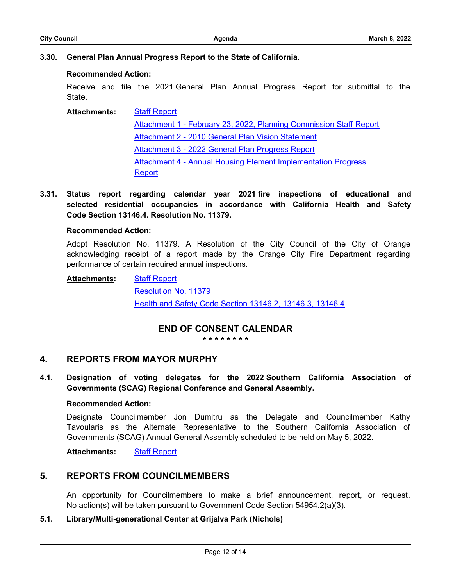# **3.30. [General Plan Annual Progress Report to the State of California.](http://cityoforange.legistar.com/gateway.aspx?m=l&id=/matter.aspx?key=2509)**

### **Recommended Action:**

Receive and file the 2021 General Plan Annual Progress Report for submittal to the State.

#### [Staff Report](http://cityoforange.legistar.com/gateway.aspx?M=F&ID=8ff8ecce-7861-4fe4-82aa-d07693f75f28.pdf) **Attachments:**

[Attachment 1 - February 23, 2022, Planning Commission Staff Report](http://cityoforange.legistar.com/gateway.aspx?M=F&ID=3ca420f4-aa4f-4e42-a9af-d71e64e551c3.pdf) [Attachment 2 - 2010 General Plan Vision Statement](http://cityoforange.legistar.com/gateway.aspx?M=F&ID=3338fa09-b03b-4527-a27d-4de9c7a7a8df.pdf) [Attachment 3 - 2022 General Plan Progress Report](http://cityoforange.legistar.com/gateway.aspx?M=F&ID=52f8ab66-4536-4058-83e8-b97d9397f486.pdf) [Attachment 4 - Annual Housing Element Implementation Progress](http://cityoforange.legistar.com/gateway.aspx?M=F&ID=5c2e25d3-672d-4391-9ccc-a0cb2c5dd38a.pdf)  **Report** 

**3.31. [Status report regarding calendar year 2021 fire inspections of educational and](http://cityoforange.legistar.com/gateway.aspx?m=l&id=/matter.aspx?key=2521) selected residential occupancies in accordance with California Health and Safety Code Section 13146.4. Resolution No. 11379.**

### **Recommended Action:**

Adopt Resolution No. 11379. A Resolution of the City Council of the City of Orange acknowledging receipt of a report made by the Orange City Fire Department regarding performance of certain required annual inspections.

#### [Staff Report](http://cityoforange.legistar.com/gateway.aspx?M=F&ID=115cf28a-9ca9-4a16-9b24-2e96884d719c.pdf) **Attachments:**

[Resolution No. 11379](http://cityoforange.legistar.com/gateway.aspx?M=F&ID=44957a6c-fe83-4055-8eb7-2abba58c83e3.pdf) [Health and Safety Code Section 13146.2, 13146.3, 13146.4](http://cityoforange.legistar.com/gateway.aspx?M=F&ID=bcd144f3-4454-40f6-b387-6d899a8f1d39.pdf)

# **END OF CONSENT CALENDAR**

**\* \* \* \* \* \* \* \***

# **4. REPORTS FROM MAYOR MURPHY**

**4.1. [Designation of voting delegates for the 2022 Southern California Association of](http://cityoforange.legistar.com/gateway.aspx?m=l&id=/matter.aspx?key=2520) Governments (SCAG) Regional Conference and General Assembly.**

### **Recommended Action:**

Designate Councilmember Jon Dumitru as the Delegate and Councilmember Kathy Tavoularis as the Alternate Representative to the Southern California Association of Governments (SCAG) Annual General Assembly scheduled to be held on May 5, 2022.

Attachments: [Staff Report](http://cityoforange.legistar.com/gateway.aspx?M=F&ID=319768d0-c983-46f4-a3cc-0dca55be167a.pdf)

# **5. REPORTS FROM COUNCILMEMBERS**

An opportunity for Councilmembers to make a brief announcement, report, or request. No action(s) will be taken pursuant to Government Code Section 54954.2(a)(3).

# **5.1. Library/Multi-generational Center at Grijalva Park (Nichols)**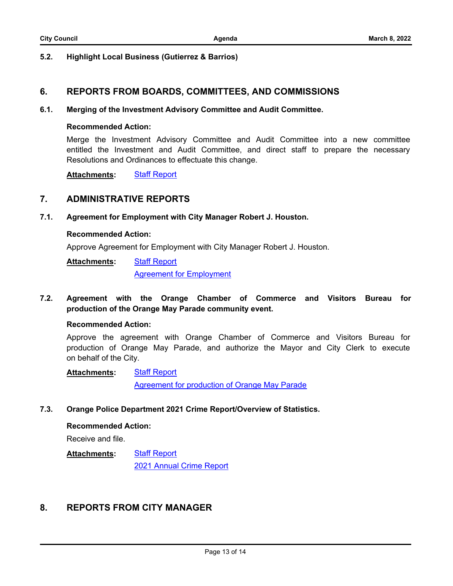### **5.2. Highlight Local Business (Gutierrez & Barrios)**

# **6. REPORTS FROM BOARDS, COMMITTEES, AND COMMISSIONS**

### **6.1. [Merging of the Investment Advisory Committee and Audit Committee.](http://cityoforange.legistar.com/gateway.aspx?m=l&id=/matter.aspx?key=2538)**

### **Recommended Action:**

Merge the Investment Advisory Committee and Audit Committee into a new committee entitled the Investment and Audit Committee, and direct staff to prepare the necessary Resolutions and Ordinances to effectuate this change.

**Attachments:** [Staff Report](http://cityoforange.legistar.com/gateway.aspx?M=F&ID=5a19461b-94ab-4314-a96a-760381bcd2d0.pdf)

# **7. ADMINISTRATIVE REPORTS**

### **7.1. [Agreement for Employment with City Manager Robert J. Houston.](http://cityoforange.legistar.com/gateway.aspx?m=l&id=/matter.aspx?key=2504)**

### **Recommended Action:**

Approve Agreement for Employment with City Manager Robert J. Houston.

[Staff Report](http://cityoforange.legistar.com/gateway.aspx?M=F&ID=0052dd41-7b93-49ea-91be-68340d9c704d.pdf) **Attachments:**

[Agreement for Employment](http://cityoforange.legistar.com/gateway.aspx?M=F&ID=5967de12-b78d-43a6-a14a-0550e97ba024.pdf)

**7.2. [Agreement with the Orange Chamber of Commerce and Visitors Bureau for](http://cityoforange.legistar.com/gateway.aspx?m=l&id=/matter.aspx?key=2508) production of the Orange May Parade community event.**

### **Recommended Action:**

Approve the agreement with Orange Chamber of Commerce and Visitors Bureau for production of Orange May Parade, and authorize the Mayor and City Clerk to execute on behalf of the City.

#### [Staff Report](http://cityoforange.legistar.com/gateway.aspx?M=F&ID=100f5c1d-6969-4c8a-90b0-a322495917e3.pdf) **Attachments:**

[Agreement for production of Orange May Parade](http://cityoforange.legistar.com/gateway.aspx?M=F&ID=7305fd6f-1812-4467-8185-e13d9dc36533.pdf)

**7.3. [Orange Police Department 2021 Crime Report/Overview of Statistics.](http://cityoforange.legistar.com/gateway.aspx?m=l&id=/matter.aspx?key=2526)**

#### **Recommended Action:**

Receive and file.

#### [Staff Report](http://cityoforange.legistar.com/gateway.aspx?M=F&ID=3f847167-61c9-40fb-95f3-7a3d8b926999.pdf) **Attachments:**

[2021 Annual Crime Report](http://cityoforange.legistar.com/gateway.aspx?M=F&ID=aa74c146-d849-4b18-b5fd-e81751961492.pdf)

# **8. REPORTS FROM CITY MANAGER**